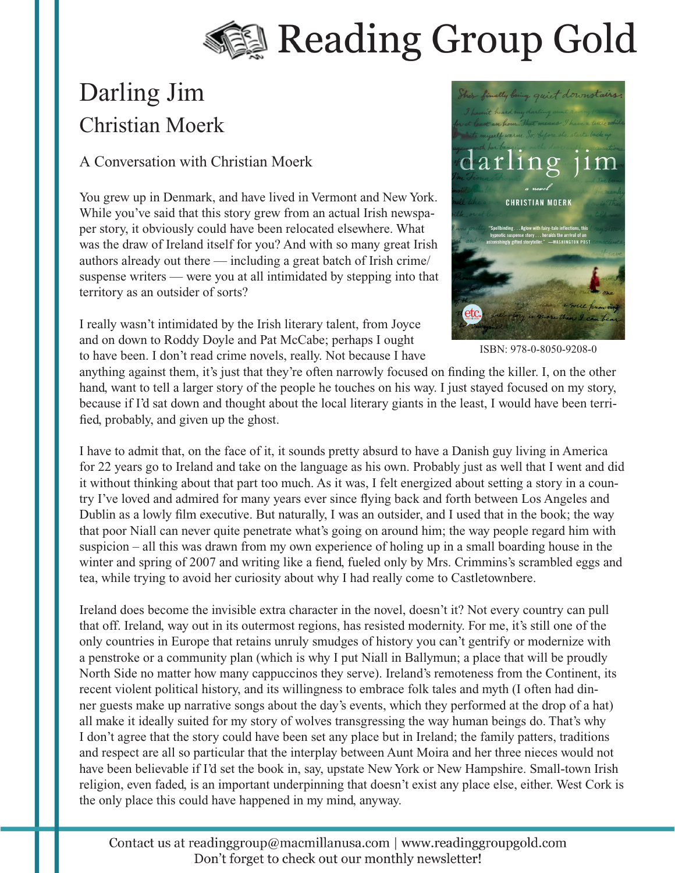## Reading Group Gold

## Darling Jim Christian Moerk

## A Conversation with Christian Moerk

You grew up in Denmark, and have lived in Vermont and New York. While you've said that this story grew from an actual Irish newspaper story, it obviously could have been relocated elsewhere. What was the draw of Ireland itself for you? And with so many great Irish authors already out there — including a great batch of Irish crime/ suspense writers — were you at all intimidated by stepping into that territory as an outsider of sorts?

I really wasn't intimidated by the Irish literary talent, from Joyce and on down to Roddy Doyle and Pat McCabe; perhaps I ought to have been. I don't read crime novels, really. Not because I have



ISBN: 978-0-8050-9208-0

anything against them, it's just that they're often narrowly focused on finding the killer. I, on the other hand, want to tell a larger story of the people he touches on his way. I just stayed focused on my story, because if I'd sat down and thought about the local literary giants in the least, I would have been terrified, probably, and given up the ghost.

I have to admit that, on the face of it, it sounds pretty absurd to have a Danish guy living in America for 22 years go to Ireland and take on the language as his own. Probably just as well that I went and did it without thinking about that part too much. As it was, I felt energized about setting a story in a country I've loved and admired for many years ever since flying back and forth between Los Angeles and Dublin as a lowly film executive. But naturally, I was an outsider, and I used that in the book; the way that poor Niall can never quite penetrate what's going on around him; the way people regard him with suspicion – all this was drawn from my own experience of holing up in a small boarding house in the winter and spring of 2007 and writing like a fiend, fueled only by Mrs. Crimmins's scrambled eggs and tea, while trying to avoid her curiosity about why I had really come to Castletownbere.

Ireland does become the invisible extra character in the novel, doesn't it? Not every country can pull that off. Ireland, way out in its outermost regions, has resisted modernity. For me, it's still one of the only countries in Europe that retains unruly smudges of history you can't gentrify or modernize with a penstroke or a community plan (which is why I put Niall in Ballymun; a place that will be proudly North Side no matter how many cappuccinos they serve). Ireland's remoteness from the Continent, its recent violent political history, and its willingness to embrace folk tales and myth (I often had dinner guests make up narrative songs about the day's events, which they performed at the drop of a hat) all make it ideally suited for my story of wolves transgressing the way human beings do. That's why I don't agree that the story could have been set any place but in Ireland; the family patters, traditions and respect are all so particular that the interplay between Aunt Moira and her three nieces would not have been believable if I'd set the book in, say, upstate New York or New Hampshire. Small-town Irish religion, even faded, is an important underpinning that doesn't exist any place else, either. West Cork is the only place this could have happened in my mind, anyway.

Contact us at reading group@macmillanusa.com | www.reading group gold.com Don't forget to check out our monthly newsletter!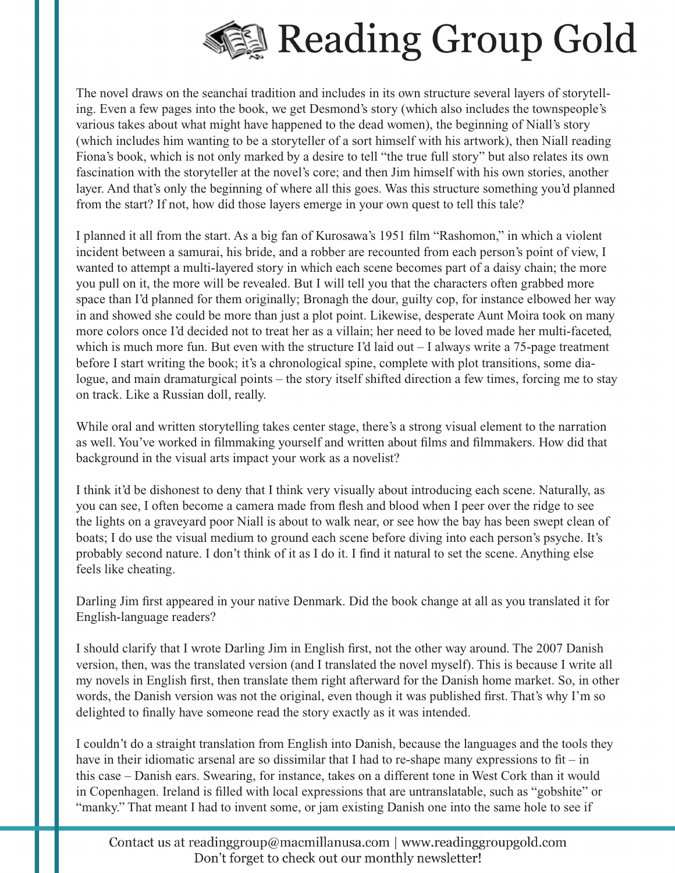

The novel draws on the seanchaí tradition and includes in its own structure several layers of storytelling. Even a few pages into the book, we get Desmond's story (which also includes the townspeople's various takes about what might have happened to the dead women), the beginning of Niall's story (which includes him wanting to be a storyteller of a sort himself with his artwork), then Niall reading Fiona's book, which is not only marked by a desire to tell "the true full story" but also relates its own fascination with the storyteller at the novel's core; and then Jim himself with his own stories, another layer. And that's only the beginning of where all this goes. Was this structure something you'd planned from the start? If not, how did those layers emerge in your own quest to tell this tale?

I planned it all from the start. As a big fan of Kurosawa's 1951 film "Rashomon," in which a violent incident between a samurai, his bride, and a robber are recounted from each person's point of view, I wanted to attempt a multi-layered story in which each scene becomes part of a daisy chain; the more you pull on it, the more will be revealed. But I will tell you that the characters often grabbed more space than I'd planned for them originally; Bronagh the dour, guilty cop, for instance elbowed her way in and showed she could be more than just a plot point. Likewise, desperate Aunt Moira took on many more colors once I'd decided not to treat her as a villain; her need to be loved made her multi-faceted, which is much more fun. But even with the structure I'd laid out  $-1$  always write a 75-page treatment before I start writing the book; it's a chronological spine, complete with plot transitions, some dialogue, and main dramaturgical points – the story itself shifted direction a few times, forcing me to stay on track. Like a Russian doll, really.

While oral and written storytelling takes center stage, there's a strong visual element to the narration as well. You've worked in filmmaking yourself and written about films and filmmakers. How did that background in the visual arts impact your work as a novelist?

I think it'd be dishonest to deny that I think very visually about introducing each scene. Naturally, as you can see, I often become a camera made from flesh and blood when I peer over the ridge to see the lights on a graveyard poor Niall is about to walk near, or see how the bay has been swept clean of boats; I do use the visual medium to ground each scene before diving into each person's psyche. It's probably second nature. I don't think of it as I do it. I find it natural to set the scene. Anything else feels like cheating.

Darling Jim first appeared in your native Denmark. Did the book change at all as you translated it for English-language readers?

I should clarify that I wrote Darling Jim in English first, not the other way around. The 2007 Danish version, then, was the translated version (and I translated the novel myself). This is because I write all my novels in English first, then translate them right afterward for the Danish home market. So, in other words, the Danish version was not the original, even though it was published first. That's why I'm so delighted to finally have someone read the story exactly as it was intended.

I couldn't do a straight translation from English into Danish, because the languages and the tools they have in their idiomatic arsenal are so dissimilar that I had to re-shape many expressions to fit – in this case – Danish ears. Swearing, for instance, takes on a different tone in West Cork than it would in Copenhagen. Ireland is filled with local expressions that are untranslatable, such as "gobshite" or "manky." That meant I had to invent some, or jam existing Danish one into the same hole to see if

Contact us at readinggroup@macmillanusa.com | www.readinggroupgold.com Don't forget to check out our monthly newsletter!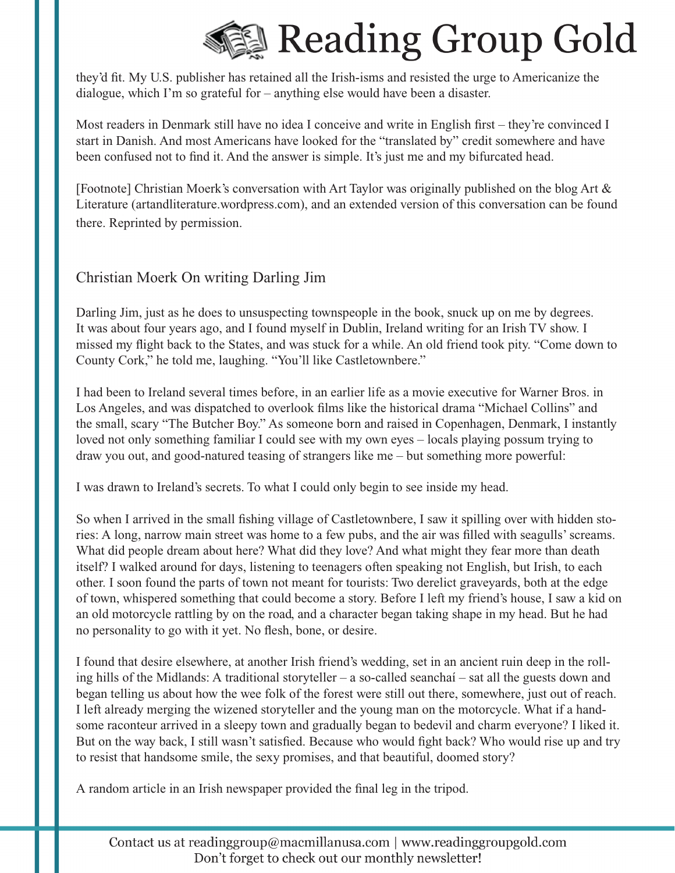

they'd fit. My U.S. publisher has retained all the Irish-isms and resisted the urge to Americanize the dialogue, which I'm so grateful for – anything else would have been a disaster.

Most readers in Denmark still have no idea I conceive and write in English first – they're convinced I start in Danish. And most Americans have looked for the "translated by" credit somewhere and have been confused not to find it. And the answer is simple. It's just me and my bifurcated head.

[Footnote] Christian Moerk's conversation with Art Taylor was originally published on the blog Art & Literature (artandliterature.wordpress.com), and an extended version of this conversation can be found there. Reprinted by permission.

Christian Moerk On writing Darling Jim

Darling Jim, just as he does to unsuspecting townspeople in the book, snuck up on me by degrees. It was about four years ago, and I found myself in Dublin, Ireland writing for an Irish TV show. I missed my flight back to the States, and was stuck for a while. An old friend took pity. "Come down to County Cork," he told me, laughing. "You'll like Castletownbere."

I had been to Ireland several times before, in an earlier life as a movie executive for Warner Bros. in Los Angeles, and was dispatched to overlook films like the historical drama "Michael Collins" and the small, scary "The Butcher Boy." As someone born and raised in Copenhagen, Denmark, I instantly loved not only something familiar I could see with my own eyes – locals playing possum trying to draw you out, and good-natured teasing of strangers like me – but something more powerful:

I was drawn to Ireland's secrets. To what I could only begin to see inside my head.

So when I arrived in the small fishing village of Castletownbere, I saw it spilling over with hidden stories: A long, narrow main street was home to a few pubs, and the air was filled with seagulls' screams. What did people dream about here? What did they love? And what might they fear more than death itself? I walked around for days, listening to teenagers often speaking not English, but Irish, to each other. I soon found the parts of town not meant for tourists: Two derelict graveyards, both at the edge of town, whispered something that could become a story. Before I left my friend's house, I saw a kid on an old motorcycle rattling by on the road, and a character began taking shape in my head. But he had no personality to go with it yet. No flesh, bone, or desire.

I found that desire elsewhere, at another Irish friend's wedding, set in an ancient ruin deep in the rolling hills of the Midlands: A traditional storyteller – a so-called seanchaí – sat all the guests down and began telling us about how the wee folk of the forest were still out there, somewhere, just out of reach. I left already merging the wizened storyteller and the young man on the motorcycle. What if a handsome raconteur arrived in a sleepy town and gradually began to bedevil and charm everyone? I liked it. But on the way back, I still wasn't satisfied. Because who would fight back? Who would rise up and try to resist that handsome smile, the sexy promises, and that beautiful, doomed story?

A random article in an Irish newspaper provided the final leg in the tripod.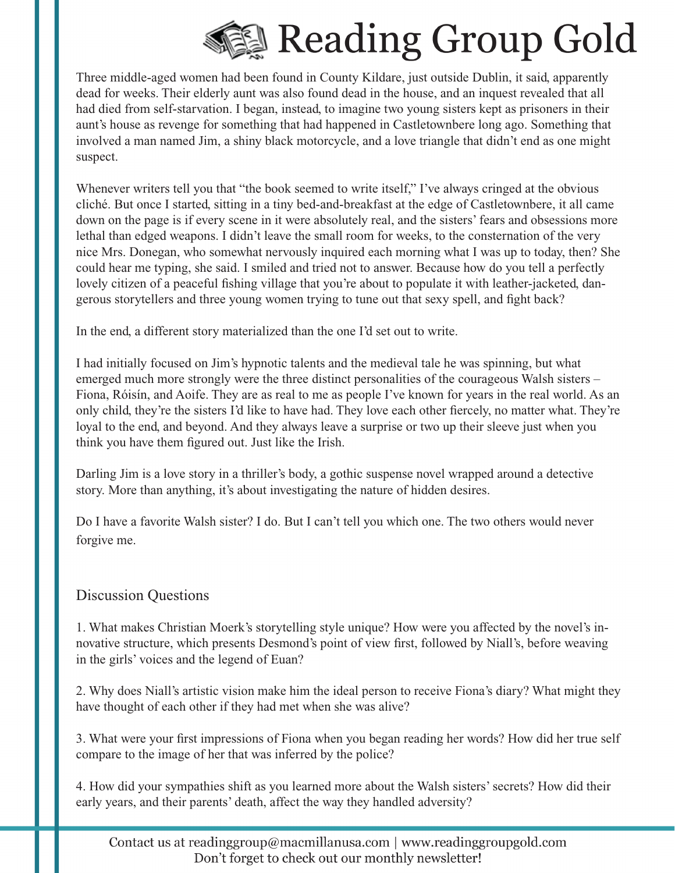

Three middle-aged women had been found in County Kildare, just outside Dublin, it said, apparently dead for weeks. Their elderly aunt was also found dead in the house, and an inquest revealed that all had died from self-starvation. I began, instead, to imagine two young sisters kept as prisoners in their aunt's house as revenge for something that had happened in Castletownbere long ago. Something that involved a man named Jim, a shiny black motorcycle, and a love triangle that didn't end as one might suspect.

Whenever writers tell you that "the book seemed to write itself," I've always cringed at the obvious cliché. But once I started, sitting in a tiny bed-and-breakfast at the edge of Castletownbere, it all came down on the page is if every scene in it were absolutely real, and the sisters' fears and obsessions more lethal than edged weapons. I didn't leave the small room for weeks, to the consternation of the very nice Mrs. Donegan, who somewhat nervously inquired each morning what I was up to today, then? She could hear me typing, she said. I smiled and tried not to answer. Because how do you tell a perfectly lovely citizen of a peaceful fishing village that you're about to populate it with leather-jacketed, dangerous storytellers and three young women trying to tune out that sexy spell, and fight back?

In the end, a different story materialized than the one I'd set out to write.

I had initially focused on Jim's hypnotic talents and the medieval tale he was spinning, but what emerged much more strongly were the three distinct personalities of the courageous Walsh sisters – Fiona, Róisín, and Aoife. They are as real to me as people I've known for years in the real world. As an only child, they're the sisters I'd like to have had. They love each other fiercely, no matter what. They're loyal to the end, and beyond. And they always leave a surprise or two up their sleeve just when you think you have them figured out. Just like the Irish.

Darling Jim is a love story in a thriller's body, a gothic suspense novel wrapped around a detective story. More than anything, it's about investigating the nature of hidden desires.

Do I have a favorite Walsh sister? I do. But I can't tell you which one. The two others would never forgive me.

## Discussion Questions

1. What makes Christian Moerk's storytelling style unique? How were you affected by the novel's innovative structure, which presents Desmond's point of view first, followed by Niall's, before weaving in the girls' voices and the legend of Euan?

2. Why does Niall's artistic vision make him the ideal person to receive Fiona's diary? What might they have thought of each other if they had met when she was alive?

3. What were your first impressions of Fiona when you began reading her words? How did her true self compare to the image of her that was inferred by the police?

4. How did your sympathies shift as you learned more about the Walsh sisters' secrets? How did their early years, and their parents' death, affect the way they handled adversity?

Contact us at readinggroup@macmillanusa.com | www.readinggroupgold.com Don't forget to check out our monthly newsletter!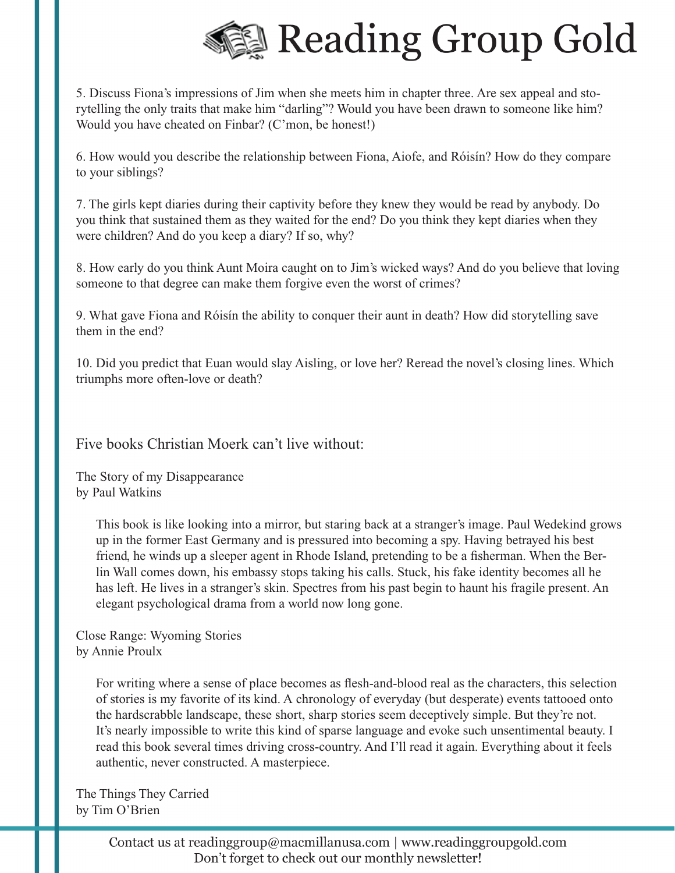

5. Discuss Fiona's impressions of Jim when she meets him in chapter three. Are sex appeal and storytelling the only traits that make him "darling"? Would you have been drawn to someone like him? Would you have cheated on Finbar? (C'mon, be honest!)

6. How would you describe the relationship between Fiona, Aiofe, and Róisín? How do they compare to your siblings?

7. The girls kept diaries during their captivity before they knew they would be read by anybody. Do you think that sustained them as they waited for the end? Do you think they kept diaries when they were children? And do you keep a diary? If so, why?

8. How early do you think Aunt Moira caught on to Jim's wicked ways? And do you believe that loving someone to that degree can make them forgive even the worst of crimes?

9. What gave Fiona and Róisín the ability to conquer their aunt in death? How did storytelling save them in the end?

10. Did you predict that Euan would slay Aisling, or love her? Reread the novel's closing lines. Which triumphs more often-love or death?

Five books Christian Moerk can't live without:

The Story of my Disappearance by Paul Watkins

> This book is like looking into a mirror, but staring back at a stranger's image. Paul Wedekind grows up in the former East Germany and is pressured into becoming a spy. Having betrayed his best friend, he winds up a sleeper agent in Rhode Island, pretending to be a fisherman. When the Berlin Wall comes down, his embassy stops taking his calls. Stuck, his fake identity becomes all he has left. He lives in a stranger's skin. Spectres from his past begin to haunt his fragile present. An elegant psychological drama from a world now long gone.

Close Range: Wyoming Stories by Annie Proulx

> For writing where a sense of place becomes as flesh-and-blood real as the characters, this selection of stories is my favorite of its kind. A chronology of everyday (but desperate) events tattooed onto the hardscrabble landscape, these short, sharp stories seem deceptively simple. But they're not. It's nearly impossible to write this kind of sparse language and evoke such unsentimental beauty. I read this book several times driving cross-country. And I'll read it again. Everything about it feels authentic, never constructed. A masterpiece.

The Things They Carried by Tim O'Brien

> Contact us at readinggroup@macmillanusa.com | www.readinggroupgold.com Don't forget to check out our monthly newsletter!